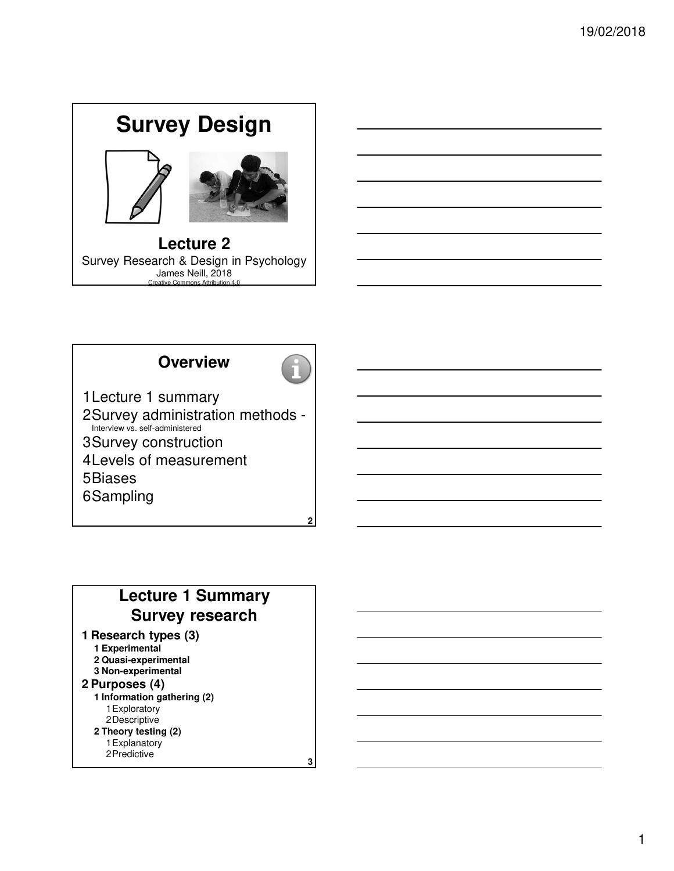



# **Overview**



**2** 1Lecture 1 summary 2Survey administration methods - Interview vs. self-administered 3Survey construction 4Levels of measurement 5Biases 6Sampling

# **Lecture 1 Summary Survey research**

#### **1 Research types (3)**

- **1 Experimental**
- **2 Quasi-experimental 3 Non-experimental**
- **2 Purposes (4)**
- 
- **1 Information gathering (2)** 1Exploratory 2Descriptive
- **2 Theory testing (2)**
	- 1Explanatory 2Predictive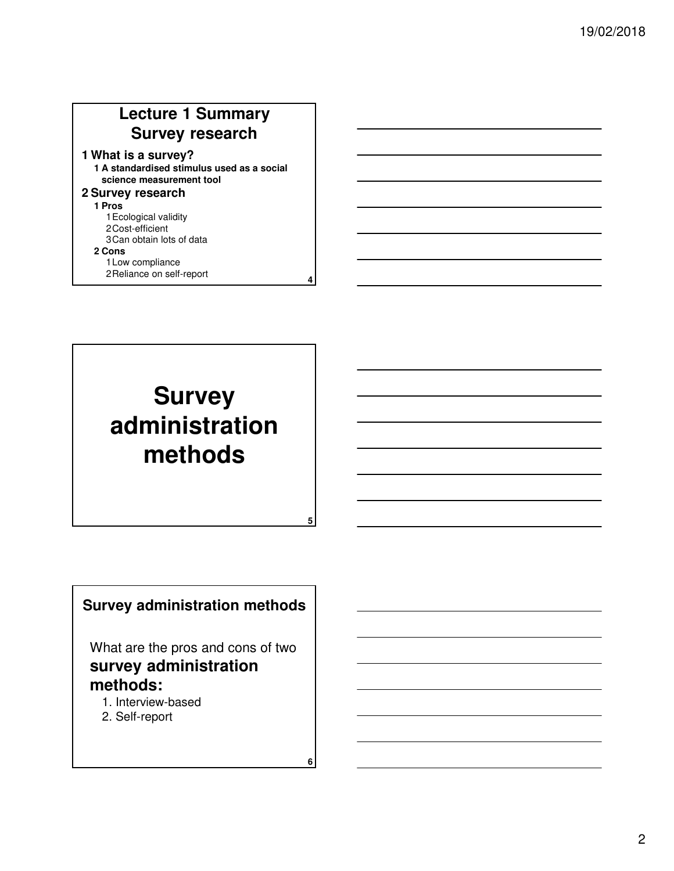# **Lecture 1 Summary Survey research**

#### **1 What is a survey?**

**1 A standardised stimulus used as a social science measurement tool**

**4**

**5**

**6**

#### **2 Survey research**

**1 Pros**

- 1Ecological validity
- 2Cost-efficient
- 3Can obtain lots of data

#### **2 Cons**

1Low compliance 2Reliance on self-report

# **Survey administration methods**

### **Survey administration methods**

What are the pros and cons of two **survey administration methods:**

- 1. Interview-based
- 2. Self-report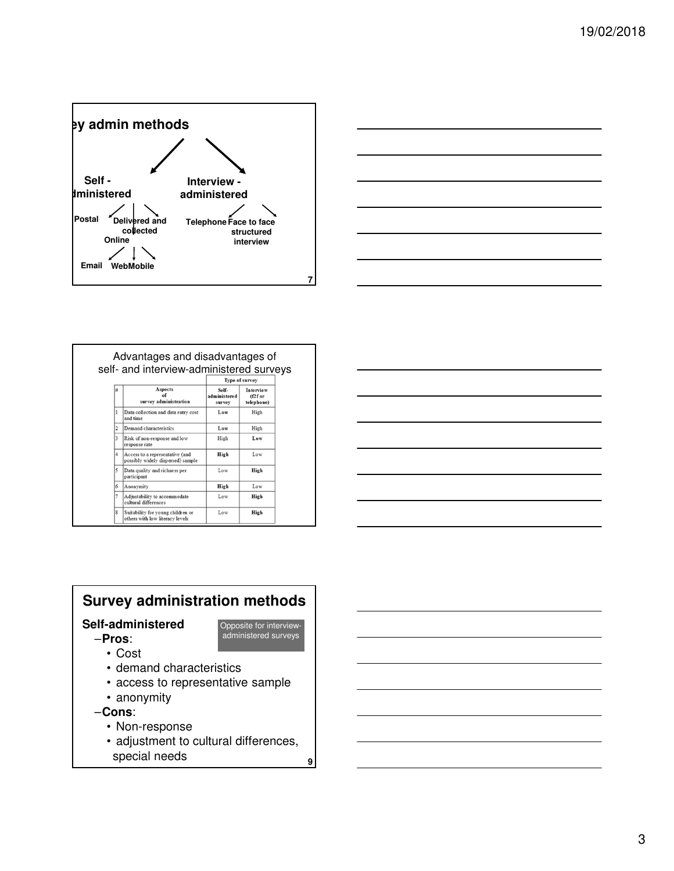



|                        |                                                                      | self- and interview-administered surveys<br><b>Type of survey</b> |                                      |  |
|------------------------|----------------------------------------------------------------------|-------------------------------------------------------------------|--------------------------------------|--|
| #                      | Aspects<br>of<br>survey administration                               | Self-<br>administered<br>survey                                   | Interview<br>$(f2f$ or<br>telephone) |  |
| 1                      | Data collection and data entry cost<br>and time                      | Low                                                               | High                                 |  |
| $\overline{2}$         | Demand characteristics                                               | Low                                                               | High                                 |  |
| 3                      | Risk of non-response and low<br>response rate                        | High                                                              | Low                                  |  |
| $\overline{4}$         | Access to a representative (and<br>possibly widely dispersed) sample | High                                                              | Low                                  |  |
| 5                      | Data quality and richness per<br>participant                         | Low                                                               | High                                 |  |
| 6                      | Anonymity                                                            | High                                                              | Low                                  |  |
| 7                      | Adjustability to accommodate<br>cultural differences                 | Low                                                               | High                                 |  |
| $\boldsymbol{\hat{x}}$ | Suitability for young children or<br>others with low literacy levels | Low                                                               | High                                 |  |



# **Survey administration methods**

### **Self-administered**

- –**Pros**:
- Opposite for interviewadministered surveys

- Cost
- demand characteristics
- access to representative sample
- anonymity
- –**Cons**:
	- Non-response
	- adjustment to cultural differences, special needs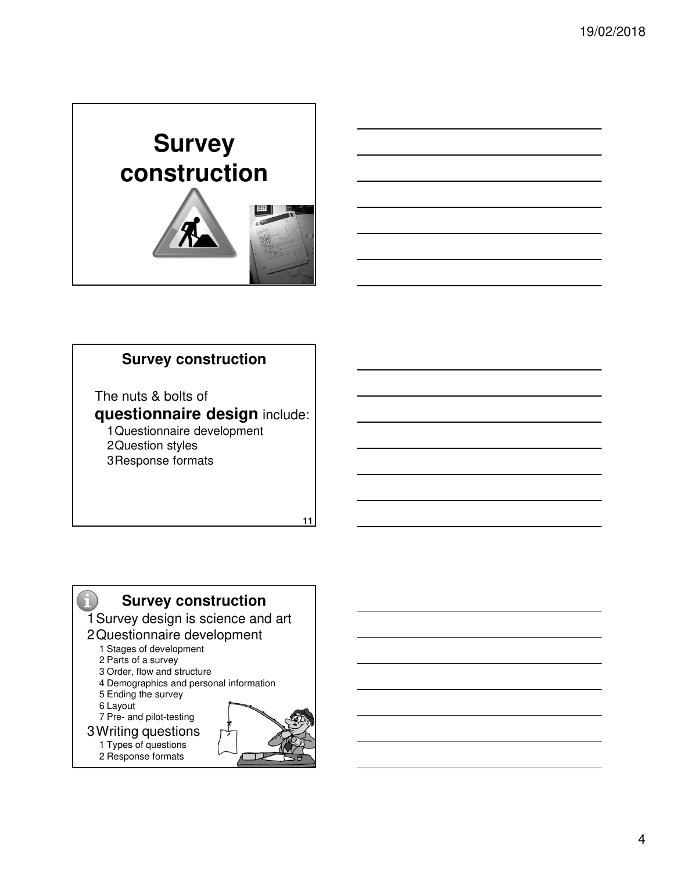



# **Survey construction**

The nuts & bolts of

**questionnaire design** include: 1Questionnaire development 2Question styles 3Response formats

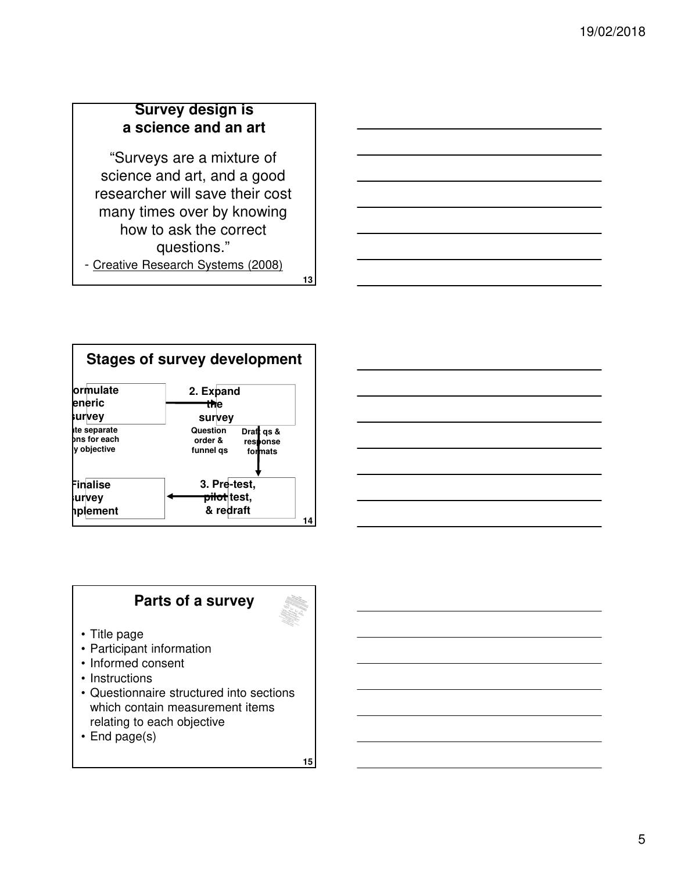# **Survey design is a science and an art**

"Surveys are a mixture of science and art, and a good researcher will save their cost many times over by knowing how to ask the correct questions." - Creative Research Systems (2008)

**13**



# **Parts of a survey**

- Title page
- Participant information
- Informed consent
- Instructions
- Questionnaire structured into sections which contain measurement items relating to each objective
- End page(s)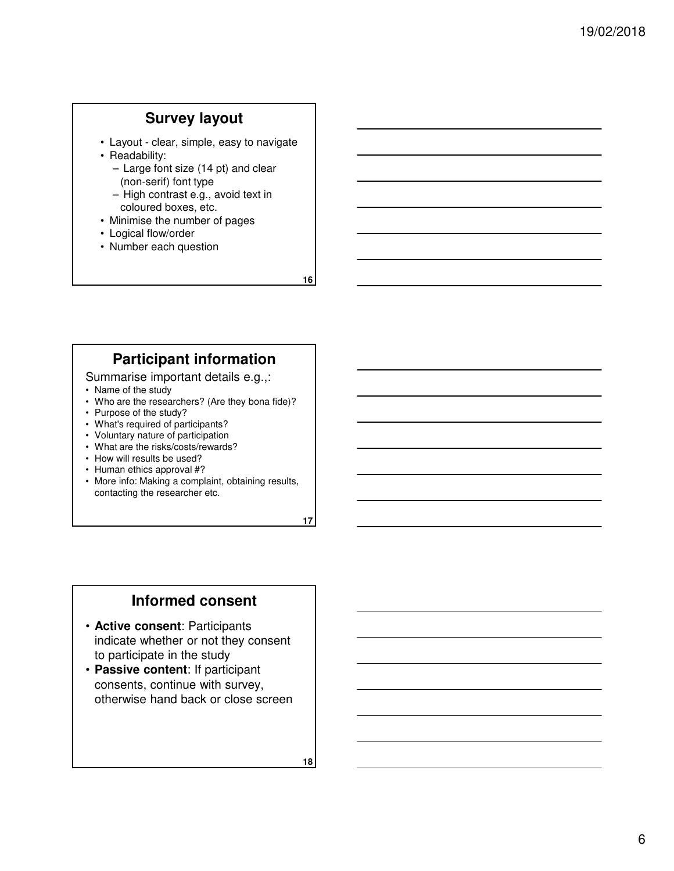#### **Survey layout**

- Layout clear, simple, easy to navigate
- Readability:
	- Large font size (14 pt) and clear (non-serif) font type
	- High contrast e.g., avoid text in coloured boxes, etc.
- Minimise the number of pages
- Logical flow/order
- Number each question

**16**

# **Participant information**

#### Summarise important details e.g.,:

- Name of the study
- Who are the researchers? (Are they bona fide)?
- Purpose of the study?
- What's required of participants?
- Voluntary nature of participation
- What are the risks/costs/rewards?
- How will results be used?
- Human ethics approval #?
- More info: Making a complaint, obtaining results, contacting the researcher etc.

**17**

#### **Informed consent**

- **Active consent**: Participants indicate whether or not they consent to participate in the study
- **Passive content**: If participant consents, continue with survey, otherwise hand back or close screen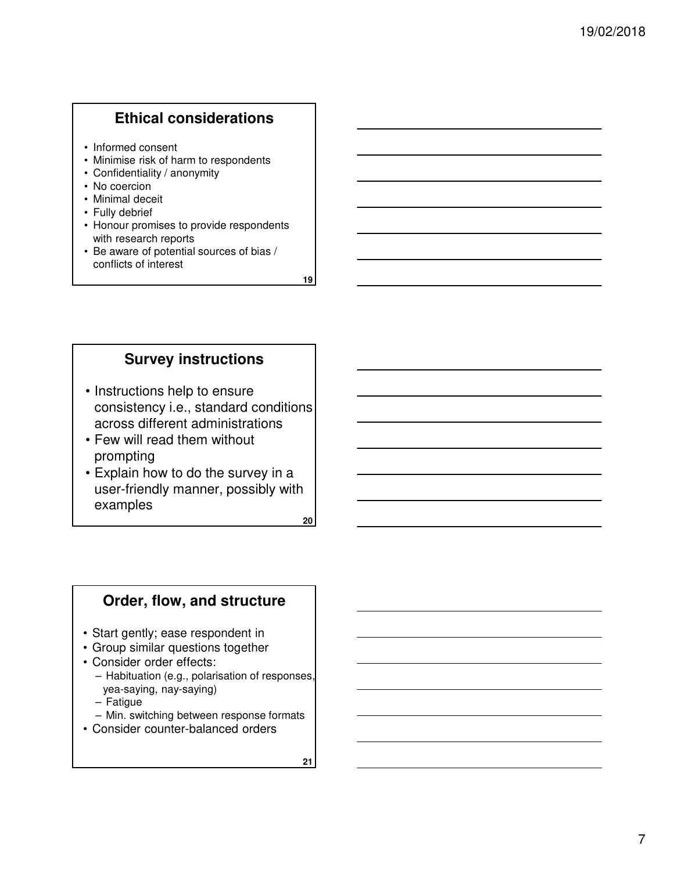# **Ethical considerations**

- Informed consent
- Minimise risk of harm to respondents
- Confidentiality / anonymity
- No coercion
- Minimal deceit
- Fully debrief
- Honour promises to provide respondents with research reports
- Be aware of potential sources of bias / conflicts of interest

**19**

# **Survey instructions**

- Instructions help to ensure consistency i.e., standard conditions across different administrations
- Few will read them without prompting
- Explain how to do the survey in a user-friendly manner, possibly with examples

**20**

#### **Order, flow, and structure**

- Start gently; ease respondent in
- Group similar questions together
- Consider order effects:
	- Habituation (e.g., polarisation of responses, yea-saying, nay-saying)
	- Fatigue
	- Min. switching between response formats
- Consider counter-balanced orders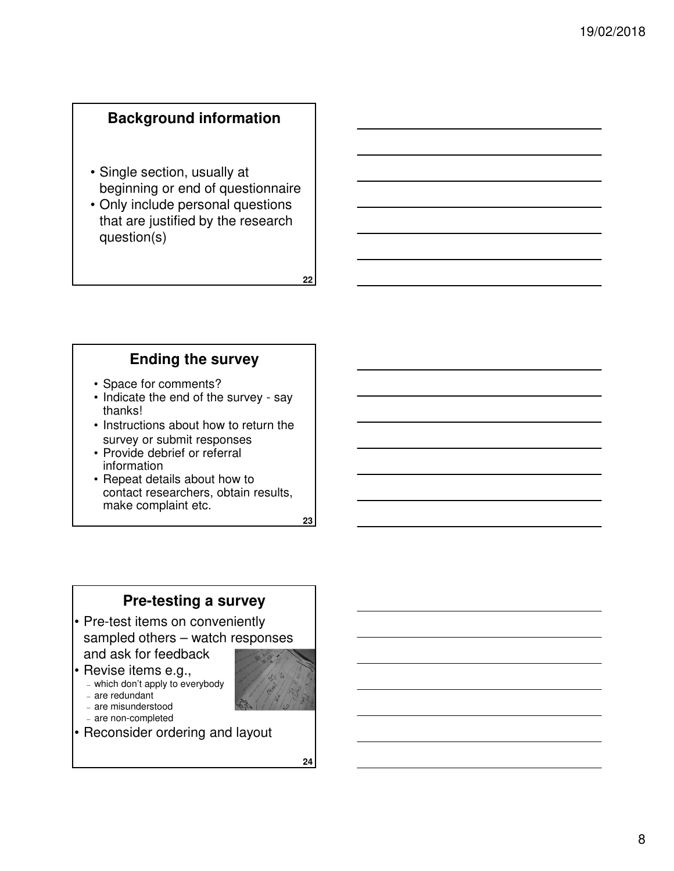## **Background information**

- Single section, usually at beginning or end of questionnaire
- Only include personal questions that are justified by the research question(s)

**Ending the survey**

- Space for comments?
- Indicate the end of the survey say thanks!
- Instructions about how to return the survey or submit responses
- Provide debrief or referral information
- Repeat details about how to contact researchers, obtain results, make complaint etc.

**23**

**22**

### **Pre-testing a survey**

- Pre-test items on conveniently sampled others – watch responses and ask for feedback
- Revise items e.g.,
- which don't apply to everybody
- are redundant
- are misunderstood
- are non-completed
- Reconsider ordering and layout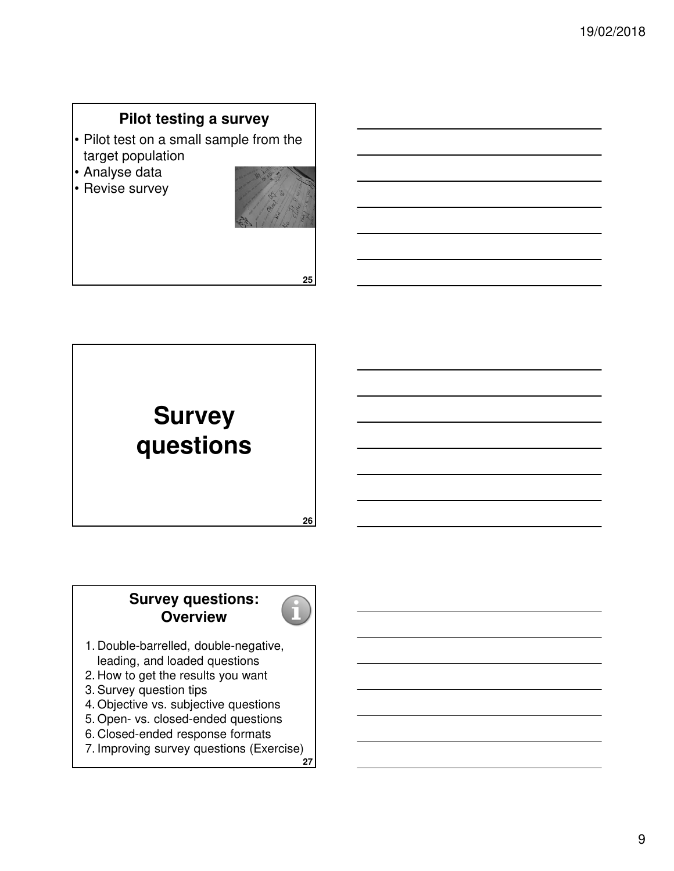# **Pilot testing a survey**

- Pilot test on a small sample from the target population
- Analyse data
- Revise survey



**25**



### **Survey questions: Overview**



- 1. Double-barrelled, double-negative, leading, and loaded questions
- 2. How to get the results you want
- 3. Survey question tips
- 4. Objective vs. subjective questions
- 5. Open- vs. closed-ended questions
- 6. Closed-ended response formats
- **27** 7. Improving survey questions (Exercise)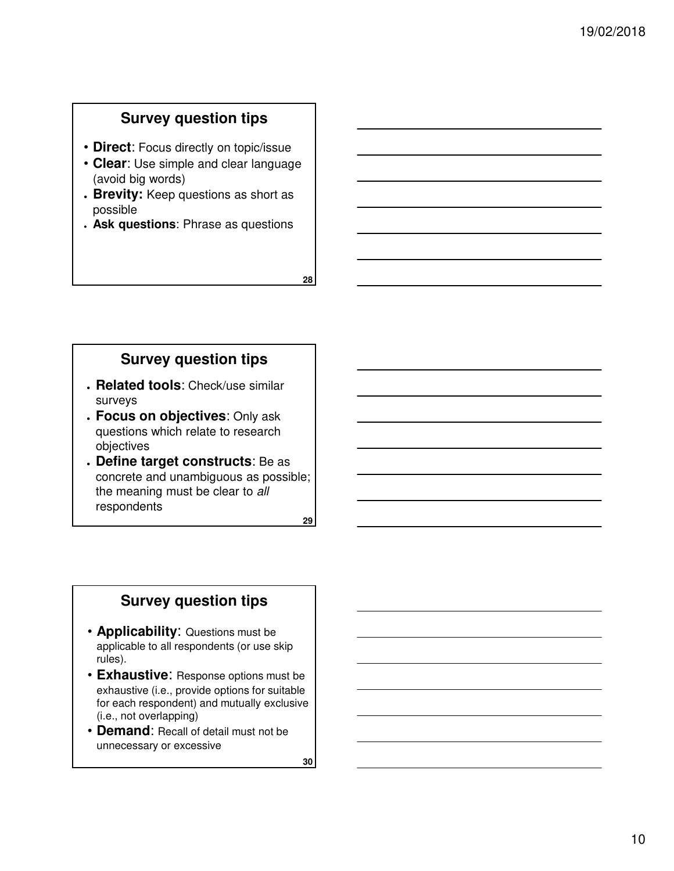### **Survey question tips**

- **Direct**: Focus directly on topic/issue
- **Clear**: Use simple and clear language (avoid big words)
- **Brevity:** Keep questions as short as possible
- **Ask questions**: Phrase as questions

**Survey question tips**

- **Related tools**: Check/use similar surveys
- **Focus on objectives**: Only ask questions which relate to research objectives
- **Define target constructs**: Be as concrete and unambiguous as possible; the meaning must be clear to all respondents

**29**

**28**

### **Survey question tips**

- **Applicability**: Questions must be applicable to all respondents (or use skip rules).
- **Exhaustive**: Response options must be exhaustive (i.e., provide options for suitable for each respondent) and mutually exclusive (i.e., not overlapping)
- **Demand**: Recall of detail must not be unnecessary or excessive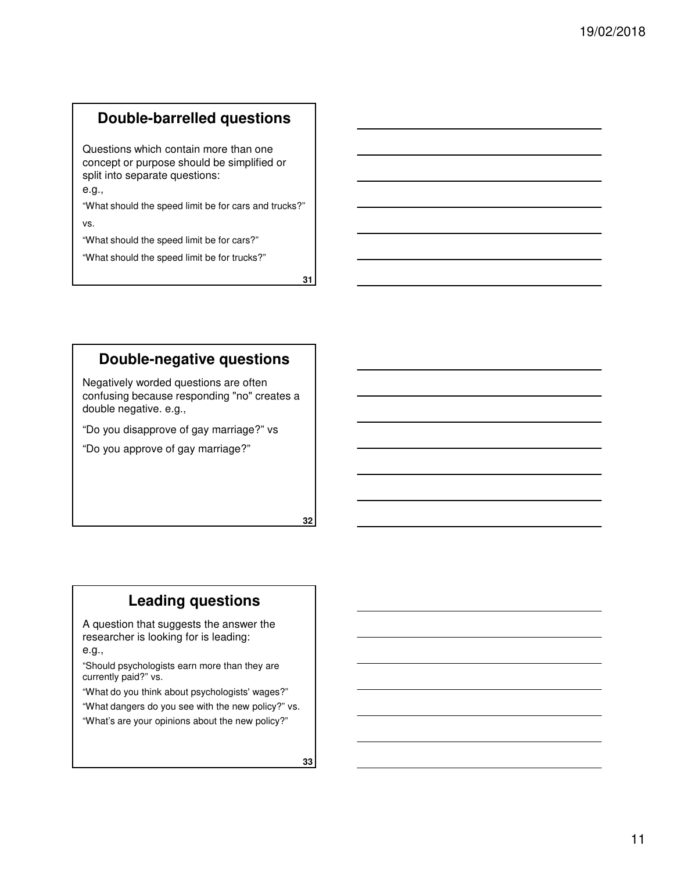# **Double-barrelled questions**

Questions which contain more than one concept or purpose should be simplified or split into separate questions:

e.g.,

"What should the speed limit be for cars and trucks?"

vs.

"What should the speed limit be for cars?"

"What should the speed limit be for trucks?"

**31**

# **Double-negative questions**

Negatively worded questions are often confusing because responding "no" creates a double negative. e.g.,

"Do you disapprove of gay marriage?" vs

"Do you approve of gay marriage?"

**32**

# **Leading questions**

A question that suggests the answer the researcher is looking for is leading:

e.g.,

"Should psychologists earn more than they are currently paid?" vs.

"What do you think about psychologists' wages?"

"What dangers do you see with the new policy?" vs. "What's are your opinions about the new policy?"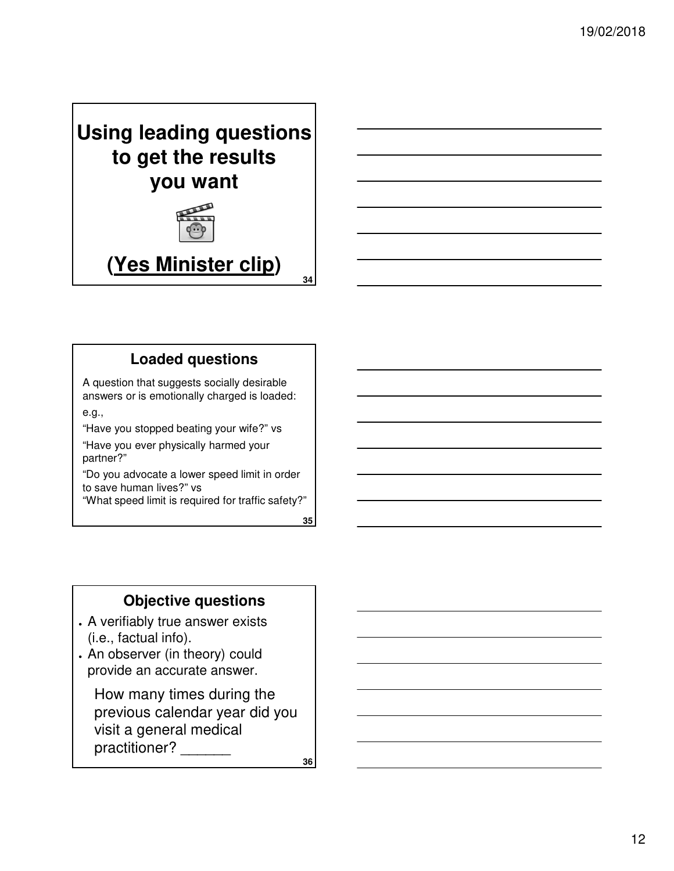



# **Loaded questions**

A question that suggests socially desirable answers or is emotionally charged is loaded: e.g.,

"Have you stopped beating your wife?" vs

"Have you ever physically harmed your partner?"

"Do you advocate a lower speed limit in order to save human lives?" vs

"What speed limit is required for traffic safety?"

**35**

**34**

### **Objective questions**

- . A verifiably true answer exists (i.e., factual info).
- . An observer (in theory) could provide an accurate answer.

How many times during the previous calendar year did you visit a general medical practitioner? \_\_\_\_\_\_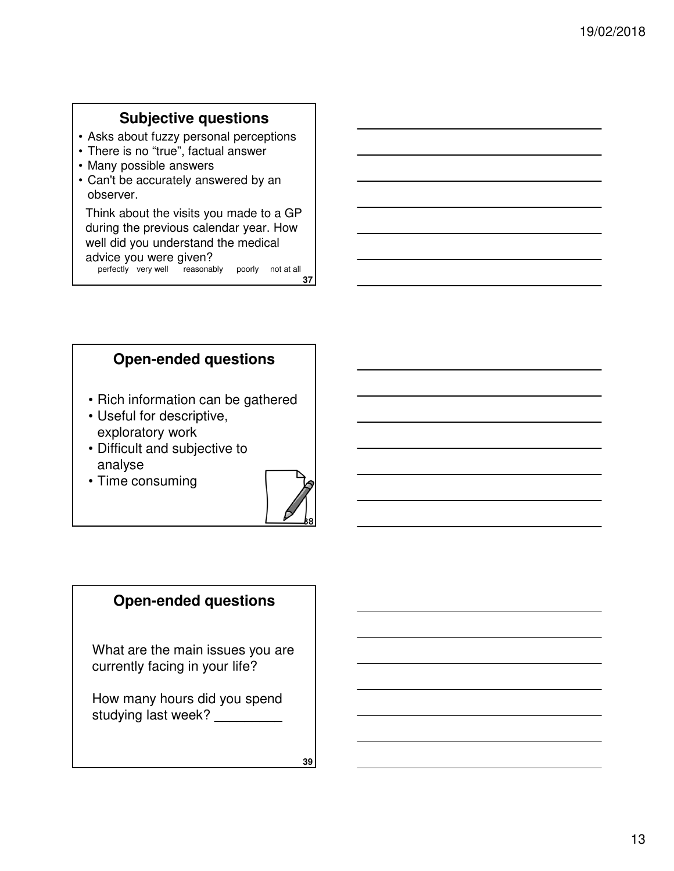# **Subjective questions**

- Asks about fuzzy personal perceptions
- There is no "true", factual answer
- Many possible answers
- Can't be accurately answered by an observer.

Think about the visits you made to a GP during the previous calendar year. How well did you understand the medical advice you were given? perfectly very well reasonably poorly not at all

**37**

#### **Open-ended questions**

- Rich information can be gathered
- Useful for descriptive, exploratory work
- Difficult and subjective to analyse
- Time consuming



### **Open-ended questions**

What are the main issues you are currently facing in your life?

How many hours did you spend studying last week?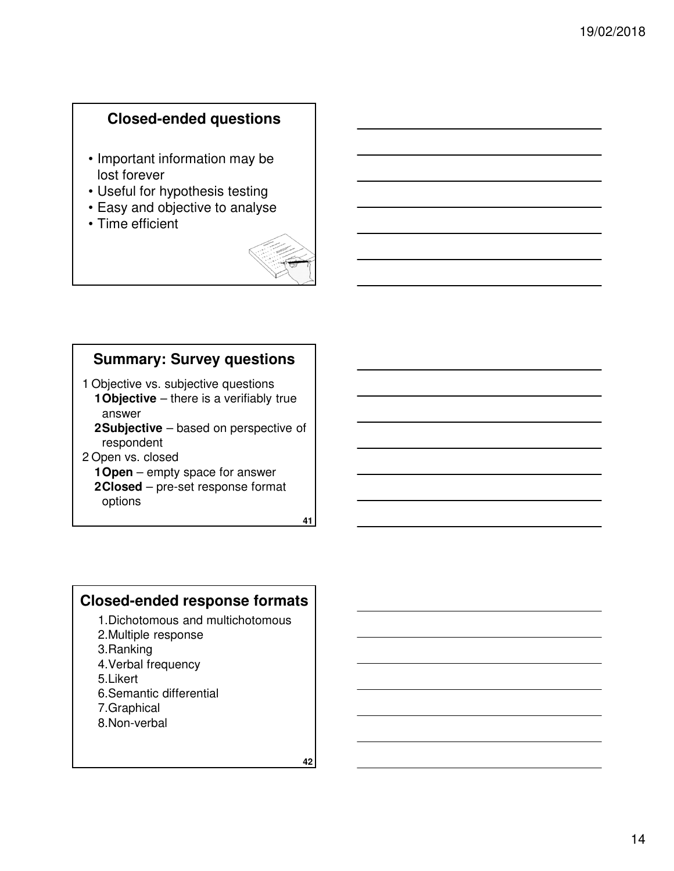### **Closed-ended questions**

- Important information may be lost forever
- Useful for hypothesis testing
- Easy and objective to analyse
- Time efficient



# **Summary: Survey questions**

1 Objective vs. subjective questions **1Objective** – there is a verifiably true

- answer **2Subjective** – based on perspective of respondent
- 2 Open vs. closed
	- **1Open** empty space for answer
	- **2Closed** pre-set response format options

**41**

#### **Closed-ended response formats**

- 1.Dichotomous and multichotomous
- 2.Multiple response
- 3.Ranking
- 4.Verbal frequency
- 5.Likert
- 6.Semantic differential
- 7.Graphical
- 8.Non-verbal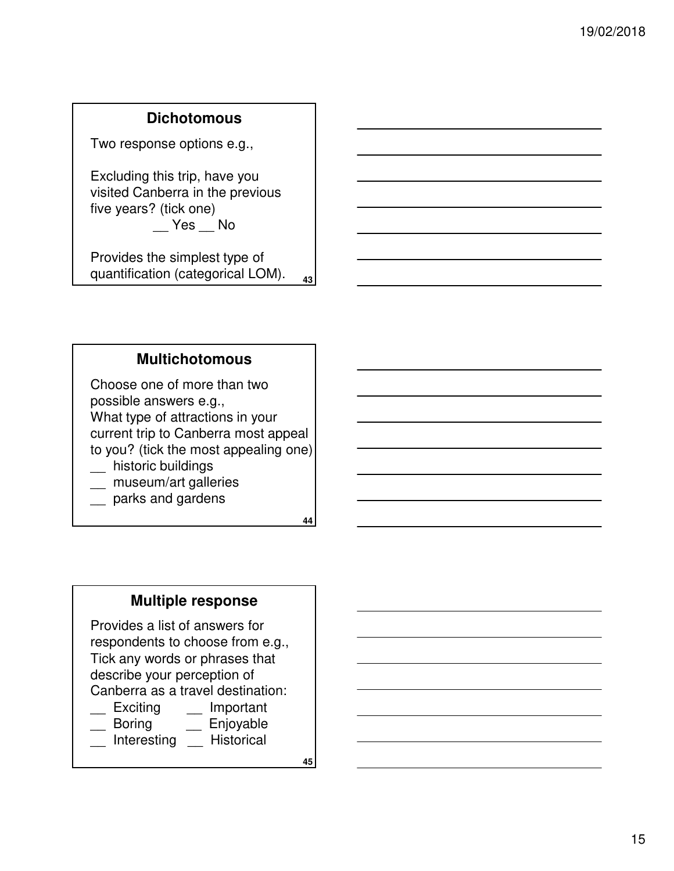### **Dichotomous**

Two response options e.g.,

Excluding this trip, have you visited Canberra in the previous five years? (tick one)  $-$  Yes  $-$  No

**43** Provides the simplest type of quantification (categorical LOM).

#### **Multichotomous**

Choose one of more than two possible answers e.g., What type of attractions in your current trip to Canberra most appeal to you? (tick the most appealing one) \_\_ historic buildings

- museum/art galleries
- \_\_ parks and gardens

**44**

#### **Multiple response**

Provides a list of answers for respondents to choose from e.g., Tick any words or phrases that describe your perception of Canberra as a travel destination:

- Exciting Important
- \_\_ Boring \_\_ Enjoyable
- \_\_ Interesting \_\_ Historical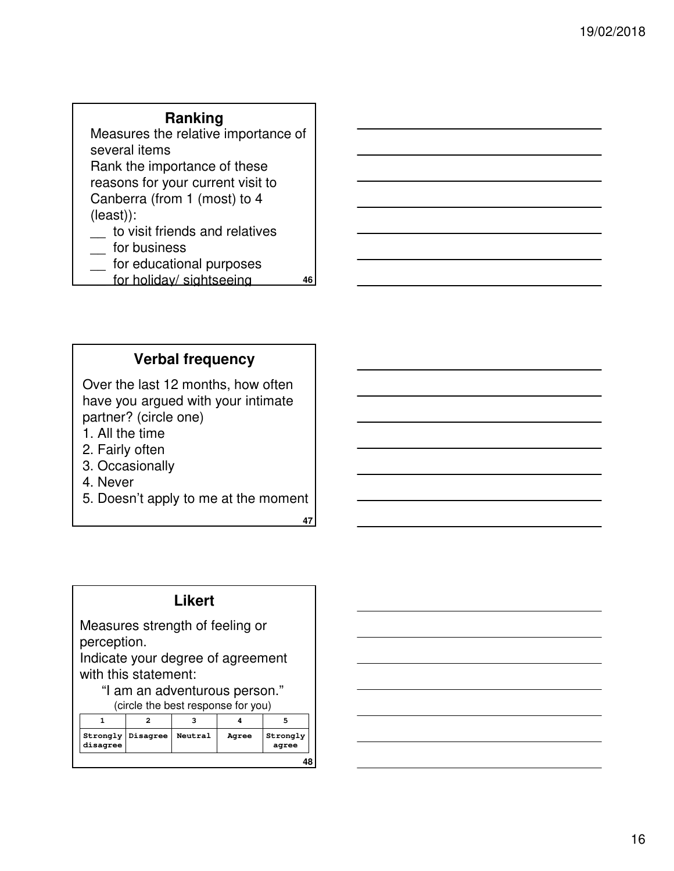#### **Ranking**

Measures the relative importance of several items Rank the importance of these reasons for your current visit to Canberra (from 1 (most) to 4 (least)): to visit friends and relatives

- for business
- \_\_ for educational purposes
- for holiday/ sightseeing

# **Verbal frequency**

Over the last 12 months, how often have you argued with your intimate partner? (circle one)

- 1. All the time
- 2. Fairly often
- 3. Occasionally
- 4. Never
- 5. Doesn't apply to me at the moment

**47**

**46**

#### **Likert**

Measures strength of feeling or perception.

Indicate your degree of agreement with this statement:

"I am an adventurous person." (circle the best response for you)

| disagree | Strongly   Disagree | Neutral | Agree | Strongly<br>agree |
|----------|---------------------|---------|-------|-------------------|
|          |                     |         |       | 48                |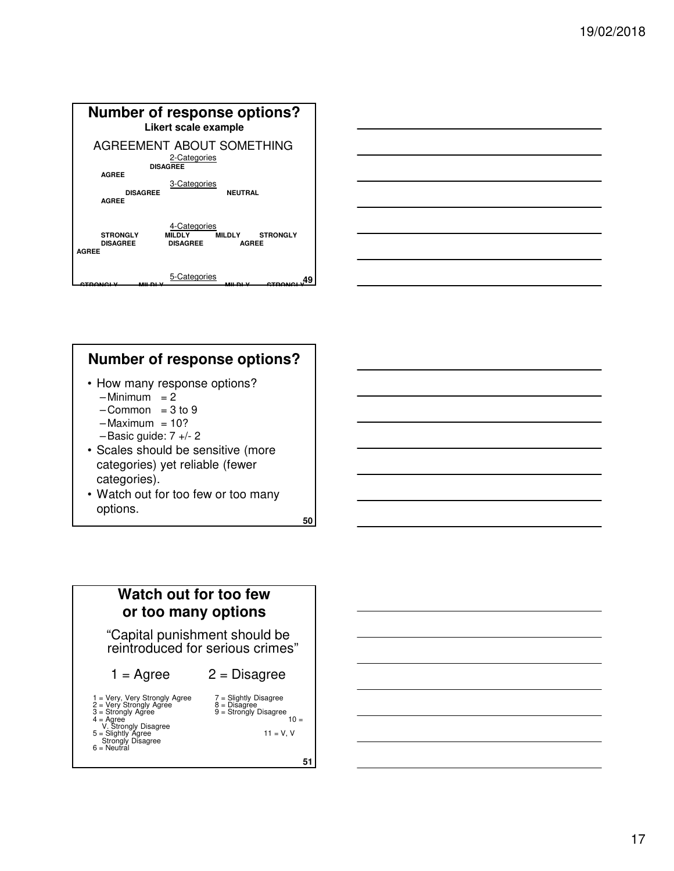



# **Number of response options?**

- How many response options?
	- $-Minimum = 2$
	- $-Common = 3 to 9$
	- $-Maximum = 10?$
	- $-$ Basic guide:  $7 +/- 2$
- Scales should be sensitive (more categories) yet reliable (fewer categories).
- Watch out for too few or too many options.

**50**



- $1 = \text{Agree}$   $2 = \text{Disagree}$
- 1 = Very Strongly Agree 7 = Slightly Disagree<br>
2 = Very Strongly Agree 8 = Disagree<br>
3 = Strongly Disagree 9 = Strongly Disagree<br>
V. Strongly Disagree 10 =<br>
Strongly Disagree 11 = V, V<br>
Strongly Disagree 11 = V, V
- 
- 
- 
- $6 =$  Neutral
-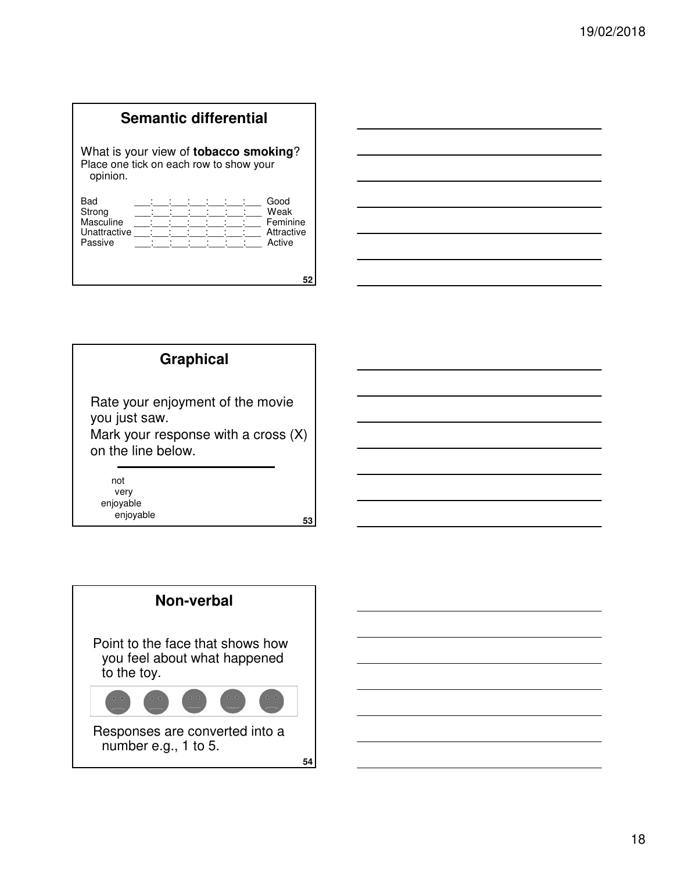### **Semantic differential**

What is your view of **tobacco smoking**? Place one tick on each row to show your opinion.

| Bad<br>Strong |  |  |  | Good<br>Weak |
|---------------|--|--|--|--------------|
| Masculine     |  |  |  | Feminine     |
| Unattractive  |  |  |  | Attractive   |
| Passive       |  |  |  | Active       |
|               |  |  |  |              |
|               |  |  |  |              |

| <u> Andreas Andreas Andreas Andreas Andreas Andreas Andreas Andreas Andreas Andreas Andreas Andreas Andreas Andreas</u> |  |  |
|-------------------------------------------------------------------------------------------------------------------------|--|--|
|                                                                                                                         |  |  |
|                                                                                                                         |  |  |
| <u> 1989 - Andrea Stadt Britain, amerikansk politik (</u>                                                               |  |  |
|                                                                                                                         |  |  |
|                                                                                                                         |  |  |

# **Graphical**

Rate your enjoyment of the movie you just saw.

Mark your response with a cross (X) on the line below.

not very enjoyable enjoyable

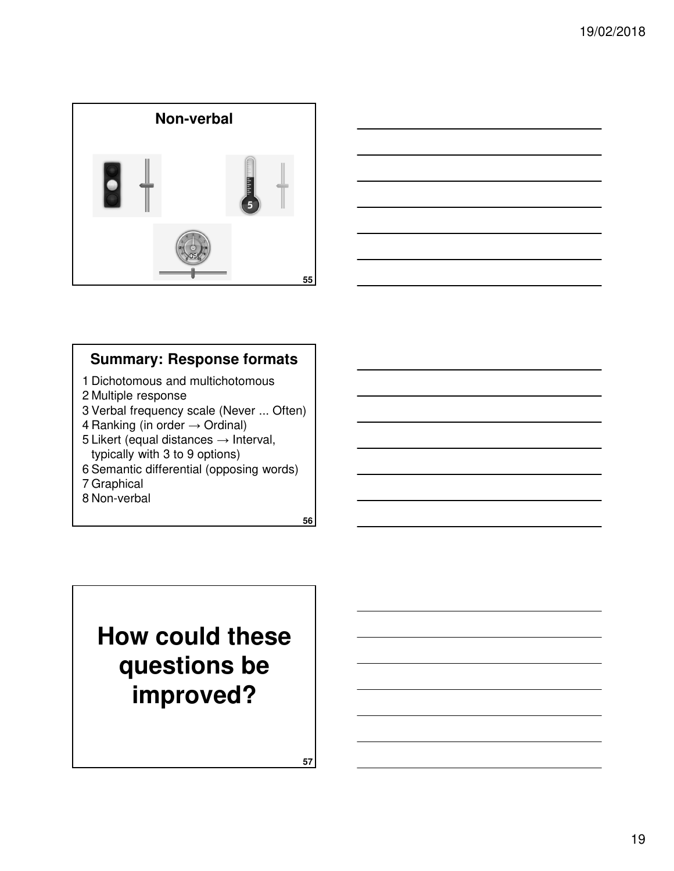



# **Summary: Response formats**

- 1 Dichotomous and multichotomous
- 2 Multiple response
- 3 Verbal frequency scale (Never ... Often)
- 4 Ranking (in order  $\rightarrow$  Ordinal)
- 5 Likert (equal distances  $\rightarrow$  Interval, typically with 3 to 9 options)
- 6 Semantic differential (opposing words)
- 7 Graphical
- 8 Non-verbal

**56**

# **How could these questions be improved?**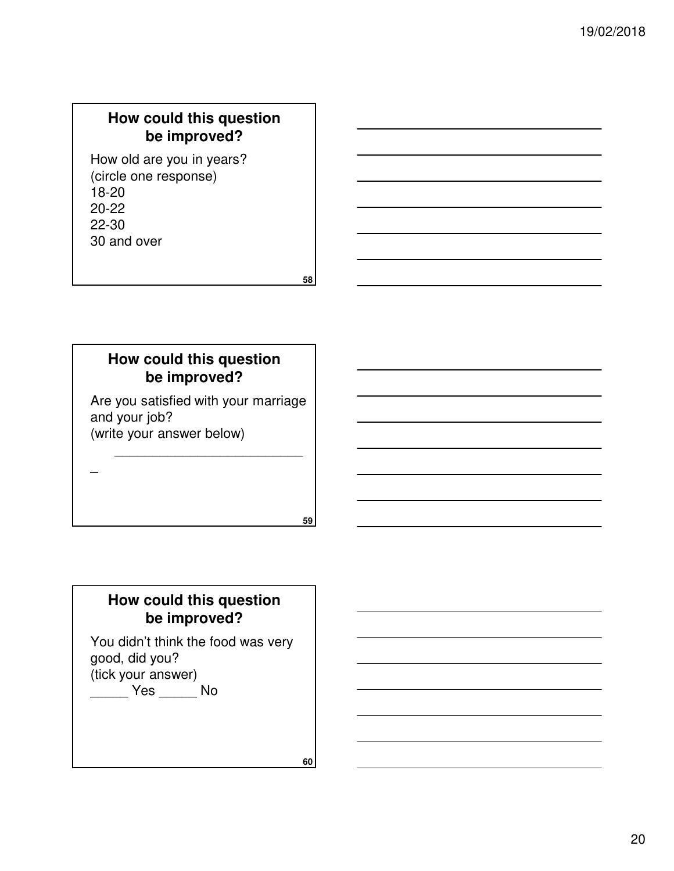# **How could this question be improved?**

How old are you in years? (circle one response) 18-20 20-22 22-30 30 and over

**58**

**59**

# **How could this question be improved?**

Are you satisfied with your marriage and your job? (write your answer below)

\_\_\_\_\_\_\_\_\_\_\_\_\_\_\_\_\_\_\_\_\_\_\_\_\_

# **How could this question be improved?**

You didn't think the food was very good, did you? (tick your answer)

\_\_\_\_\_ Yes \_\_\_\_\_ No

 $\overline{\phantom{a}}$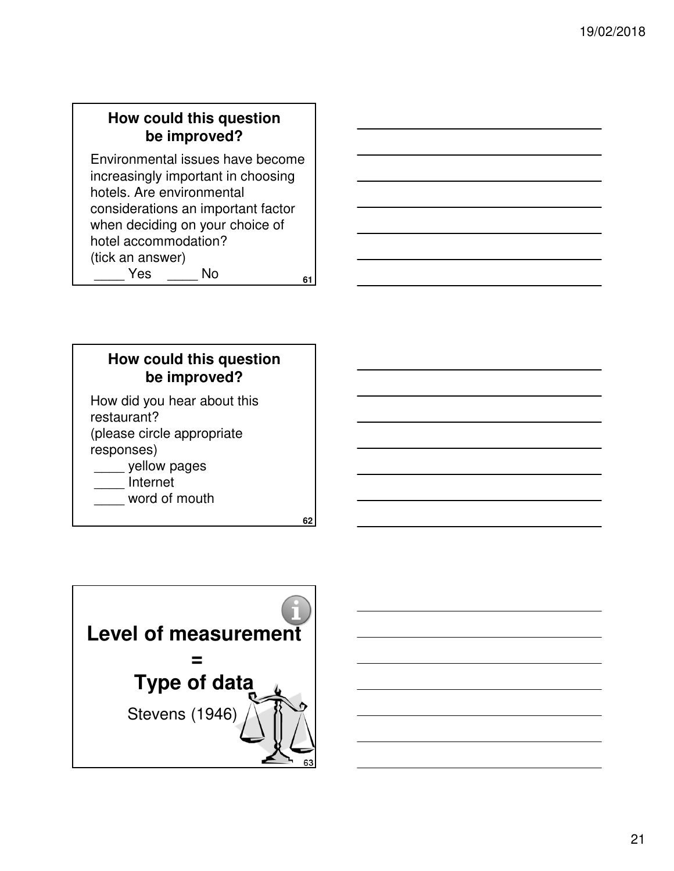# **How could this question be improved?**

**61** Environmental issues have become increasingly important in choosing hotels. Are environmental considerations an important factor when deciding on your choice of hotel accommodation? (tick an answer) Yes No

**How could this question be improved?**

**62**

How did you hear about this restaurant? (please circle appropriate responses)

- \_\_\_\_ yellow pages
- \_\_\_\_ Internet
- word of mouth

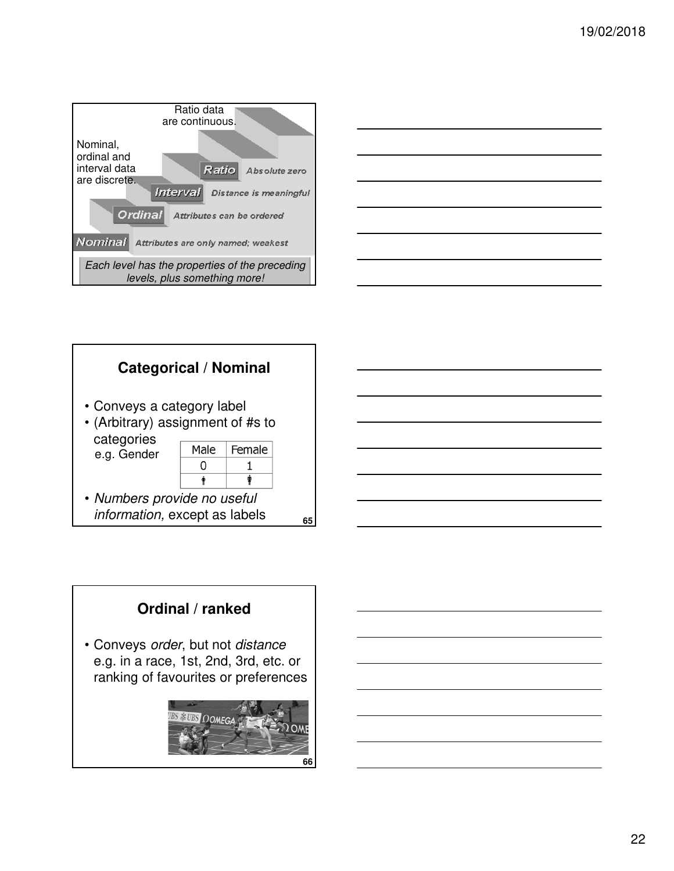





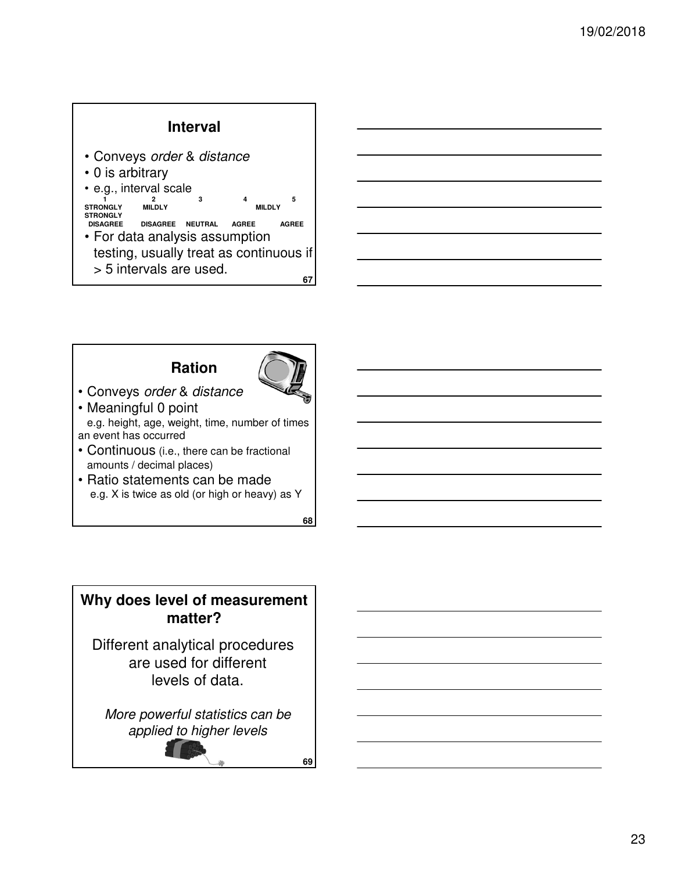#### **Interval**

- Conveys order & distance
- 0 is arbitrary

• e.g., interval scale <sup>2</sup> 3 4<br>MILDLY 3 MILDLY STRONGLY

- STRONGLY<br>DISAGREE **DISAGREE DISAGREE NEUTRAL AGREE AGREE** • For data analysis assumption testing, usually treat as continuous if
	- > 5 intervals are used.

# **Ration**



**67**

• Conveys order & distance

• Meaningful 0 point e.g. height, age, weight, time, number of times an event has occurred

- Continuous (i.e., there can be fractional amounts / decimal places)
- Ratio statements can be made e.g. X is twice as old (or high or heavy) as Y

**68**

**69**

# **Why does level of measurement matter?**

Different analytical procedures are used for different levels of data.

More powerful statistics can be applied to higher levels

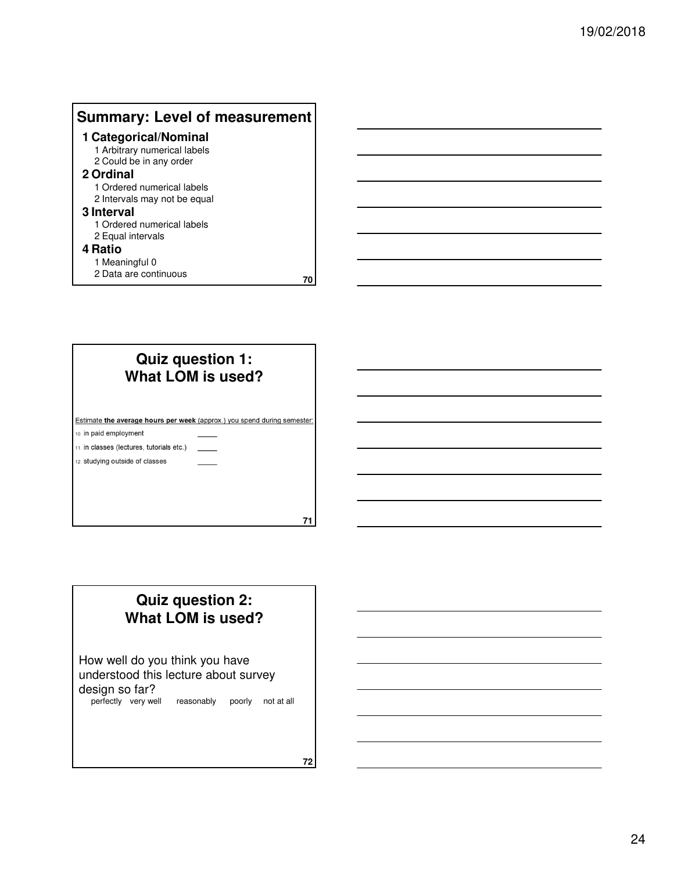# **Summary: Level of measurement**

#### **1 Categorical/Nominal**

1 Arbitrary numerical labels 2 Could be in any order

#### **2 Ordinal**

1 Ordered numerical labels 2 Intervals may not be equal

#### **3 Interval**

1 Ordered numerical labels 2 Equal intervals

#### **4 Ratio**

1 Meaningful 0

2 Data are continuous

| Quiz question 1:<br>What LOM is used?     |                                                                          |  |  |  |  |  |
|-------------------------------------------|--------------------------------------------------------------------------|--|--|--|--|--|
|                                           | Estimate the average hours per week (approx.) you spend during semester: |  |  |  |  |  |
| 10. in paid employment                    |                                                                          |  |  |  |  |  |
| 11. in classes (lectures, tutorials etc.) |                                                                          |  |  |  |  |  |
| 12. studying outside of classes           |                                                                          |  |  |  |  |  |
|                                           |                                                                          |  |  |  |  |  |
|                                           |                                                                          |  |  |  |  |  |
|                                           |                                                                          |  |  |  |  |  |
|                                           |                                                                          |  |  |  |  |  |

# **Quiz question 2: What LOM is used?**

How well do you think you have understood this lecture about survey design so far?

perfectly very well reasonably poorly not at all

**72**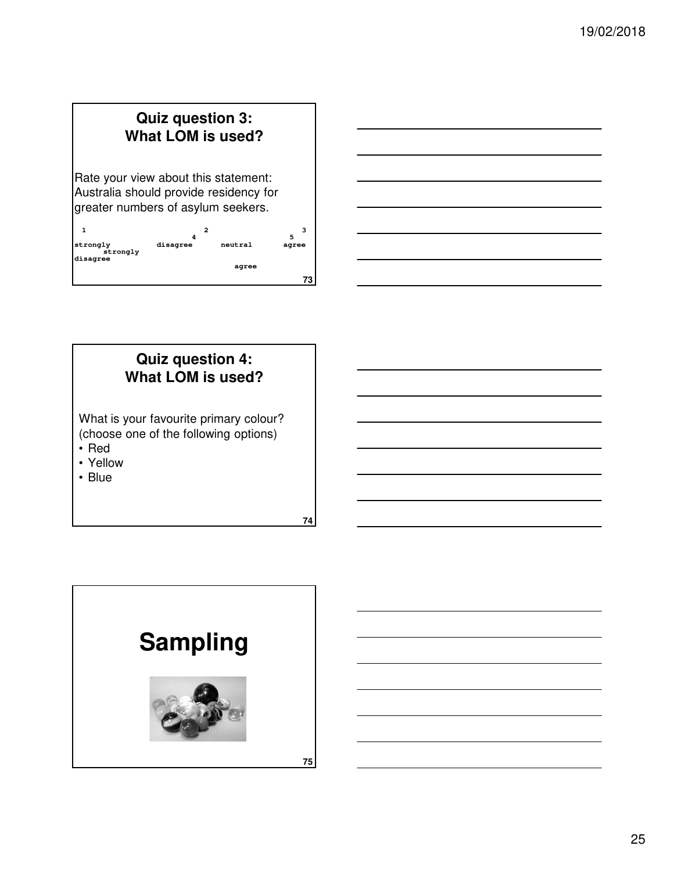# **Quiz question 3: What LOM is used?**

Rate your view about this statement: Australia should provide residency for greater numbers of asylum seekers.

|                                  | 2        |         | э<br>5 |
|----------------------------------|----------|---------|--------|
| strongly<br>strongly<br>disagree | disagree | neutral | agree  |
|                                  |          | agree   |        |
|                                  |          |         | 73     |



# **Quiz question 4: What LOM is used?**

What is your favourite primary colour? (choose one of the following options)

- Red
- Yellow
- Blue

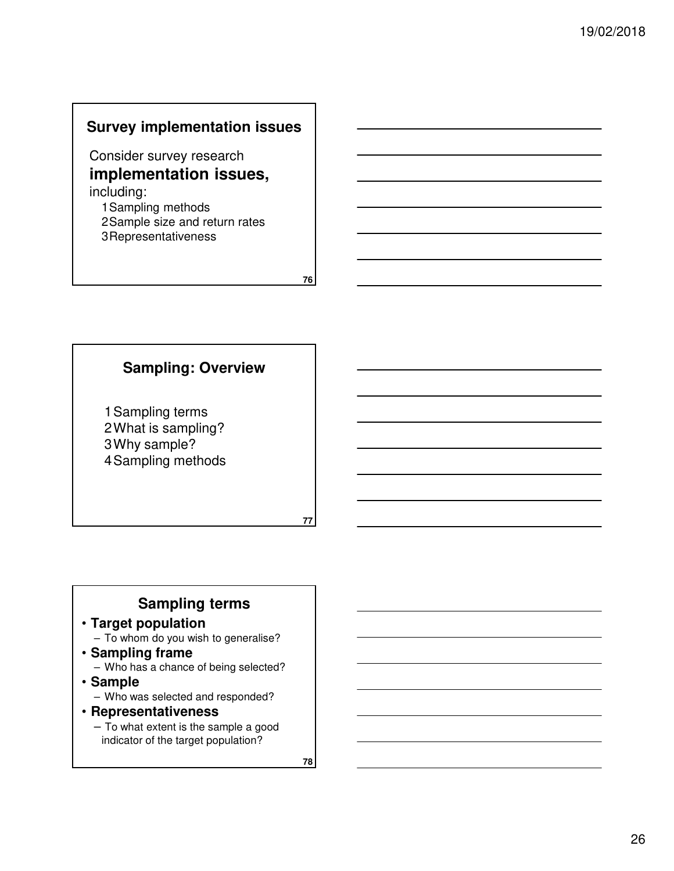#### **Survey implementation issues**

Consider survey research **implementation issues,**  including:

1Sampling methods 2Sample size and return rates 3Representativeness

**76**

#### **Sampling: Overview**

1Sampling terms 2What is sampling? 3Why sample? 4Sampling methods

**77**

#### **Sampling terms**

### • **Target population**

– To whom do you wish to generalise?

- **Sampling frame** – Who has a chance of being selected?
- **Sample**
	- Who was selected and responded?

#### • **Representativeness**

– To what extent is the sample a good indicator of the target population?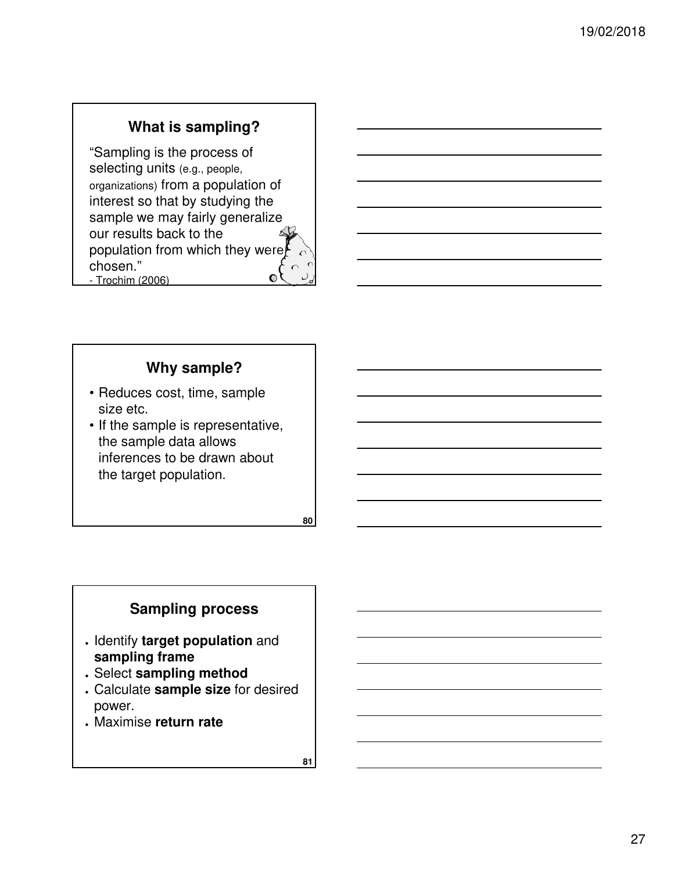# **What is sampling?**

"Sampling is the process of selecting units (e.g., people, organizations) from a population of interest so that by studying the sample we may fairly generalize our results back to the population from which they were chosen."  $\bullet$ - Trochim (2006) **79**

# **Why sample?**

- Reduces cost, time, sample size etc.
- If the sample is representative, the sample data allows inferences to be drawn about the target population.

**80**

# **Sampling process**

- Identify **target population** and **sampling frame**
- Select **sampling method**
- Calculate **sample size** for desired power.
- Maximise **return rate**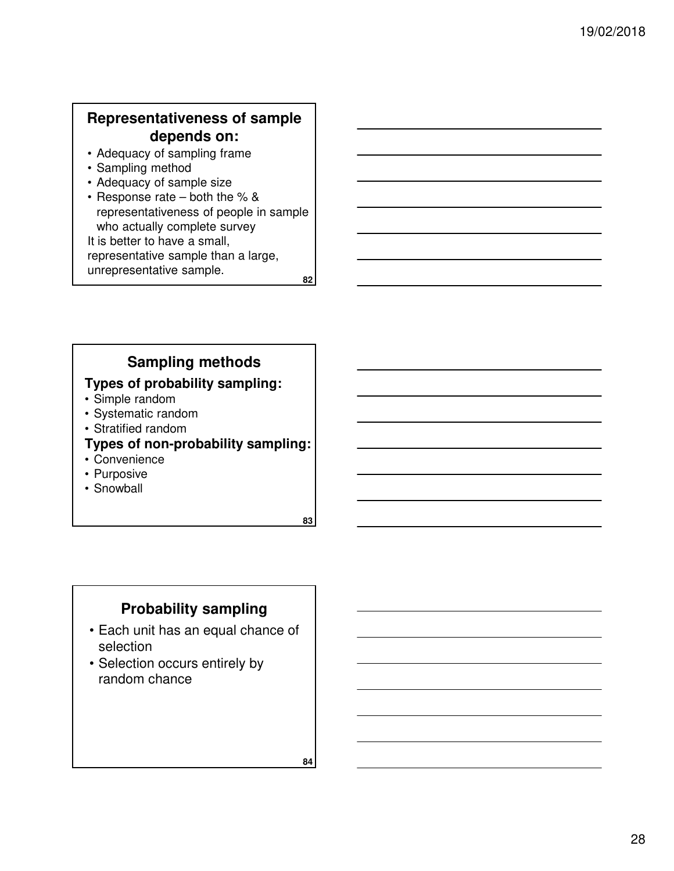# **Representativeness of sample depends on:**

- Adequacy of sampling frame
- Sampling method
- Adequacy of sample size
- **82** • Response rate – both the % & representativeness of people in sample who actually complete survey It is better to have a small, representative sample than a large, unrepresentative sample.

# **Sampling methods**

#### **Types of probability sampling:**

- Simple random
- Systematic random
- Stratified random

# **Types of non-probability sampling:**

- Convenience
- Purposive
- Snowball

**83**

### **Probability sampling**

- Each unit has an equal chance of selection
- Selection occurs entirely by random chance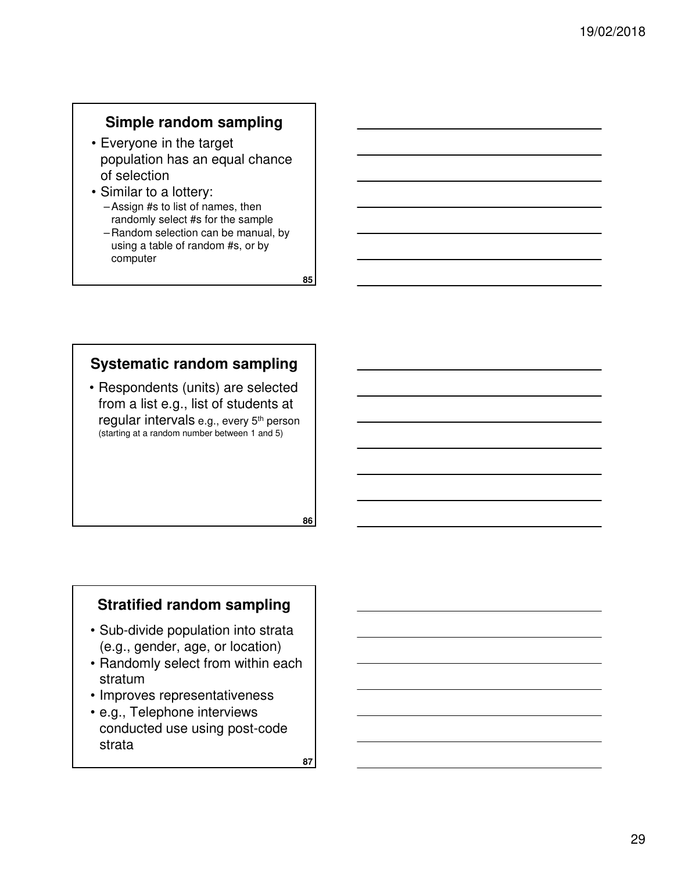# **Simple random sampling**

- Everyone in the target population has an equal chance of selection
- Similar to a lottery: – Assign #s to list of names, then randomly select #s for the sample
	- Random selection can be manual, by using a table of random #s, or by computer

**85**

# **Systematic random sampling**

• Respondents (units) are selected from a list e.g., list of students at regular intervals e.g., every 5th person (starting at a random number between 1 and 5)

# **Stratified random sampling**

- Sub-divide population into strata (e.g., gender, age, or location)
- Randomly select from within each stratum
- Improves representativeness
- e.g., Telephone interviews conducted use using post-code strata

**87**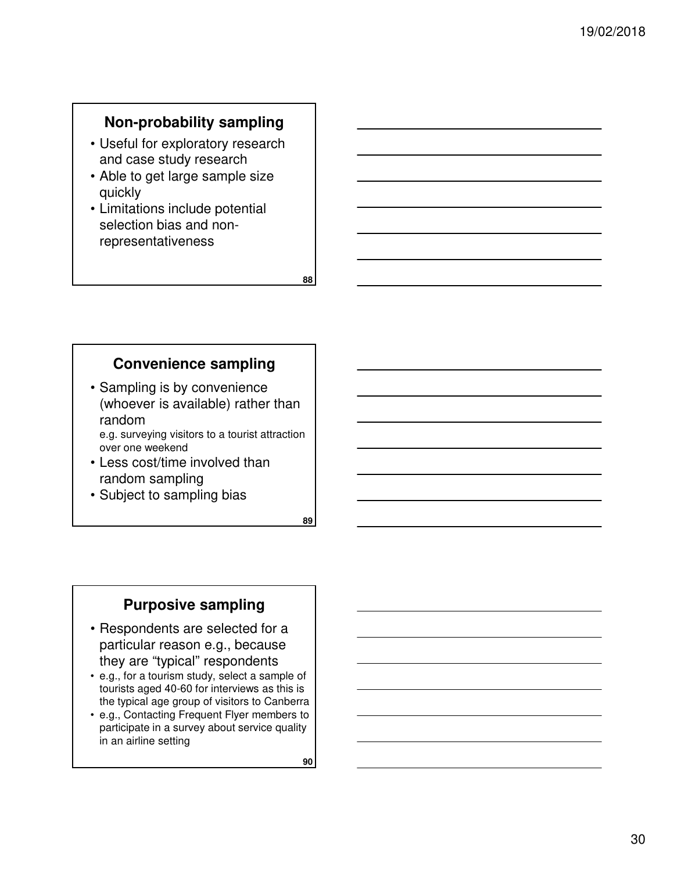# **Non-probability sampling**

- Useful for exploratory research and case study research
- Able to get large sample size quickly
- Limitations include potential selection bias and nonrepresentativeness

#### **Convenience sampling**

- Sampling is by convenience (whoever is available) rather than random
- e.g. surveying visitors to a tourist attraction over one weekend
- Less cost/time involved than random sampling
- Subject to sampling bias

**89**

**88**

# **Purposive sampling**

- Respondents are selected for a particular reason e.g., because they are "typical" respondents
- e.g., for a tourism study, select a sample of tourists aged 40-60 for interviews as this is the typical age group of visitors to Canberra
- e.g., Contacting Frequent Flyer members to participate in a survey about service quality in an airline setting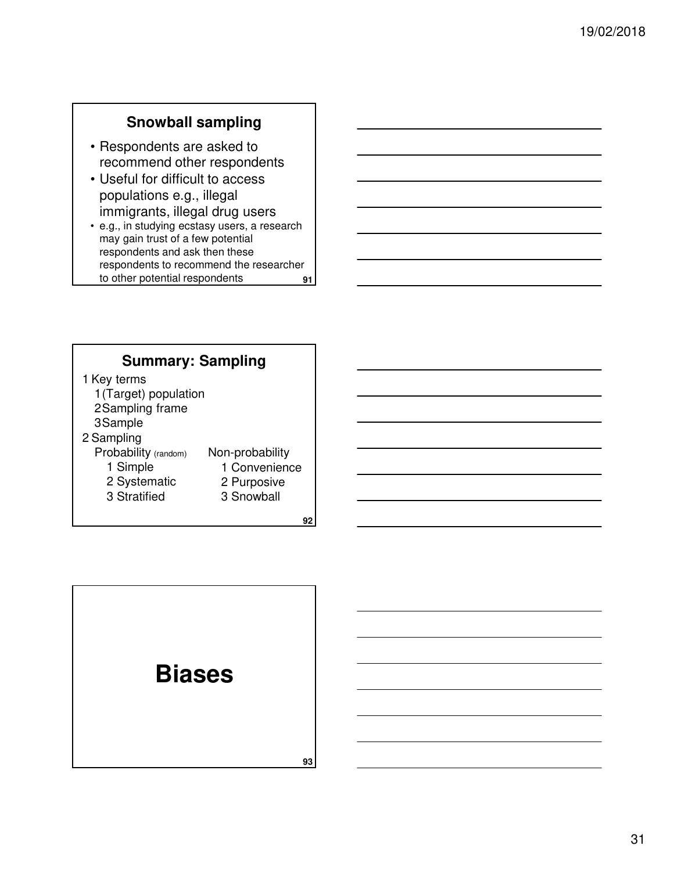# **Snowball sampling**

- Respondents are asked to recommend other respondents
- Useful for difficult to access populations e.g., illegal immigrants, illegal drug users
- **91** • e.g., in studying ecstasy users, a research may gain trust of a few potential respondents and ask then these respondents to recommend the researcher to other potential respondents

### **Summary: Sampling**

1 Key terms 1(Target) population

- 2Sampling frame
- 3Sample
- 2 Sampling
	- Probability (random) 1 Simple

3 Stratified

- Non-probability 1 Convenience
- 2 Systematic
- 2 Purposive 3 Snowball
	-

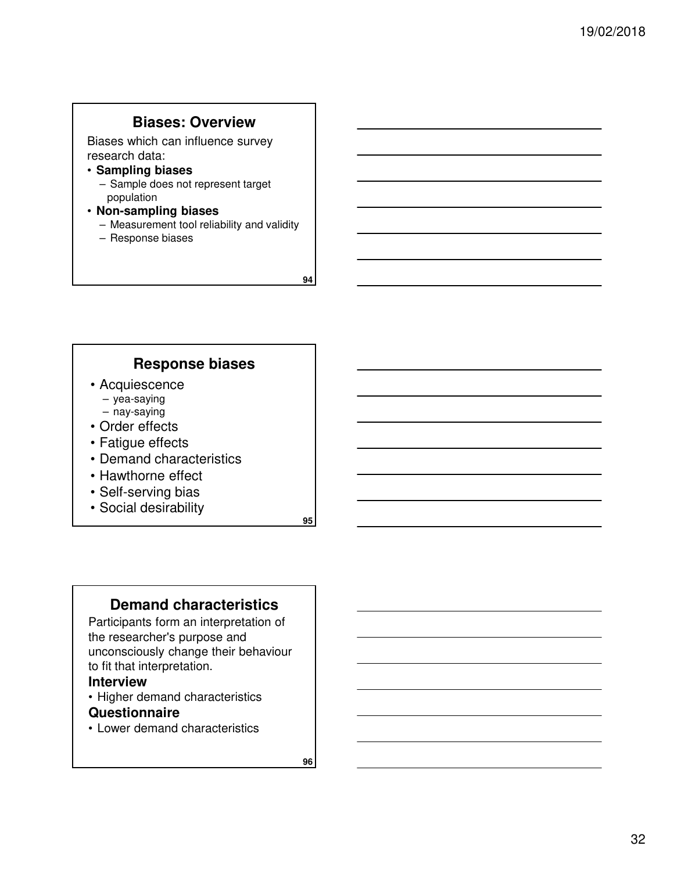#### **Biases: Overview**

Biases which can influence survey research data:

- **Sampling biases**
	- Sample does not represent target population
- **Non-sampling biases**
	- Measurement tool reliability and validity
	- Response biases

**94**

### **Response biases**

- Acquiescence
	- yea-saying
	- nay-saying
- Order effects
- Fatigue effects
- Demand characteristics
- Hawthorne effect
- Self-serving bias
- Social desirability

**95**

#### **Demand characteristics**

Participants form an interpretation of the researcher's purpose and unconsciously change their behaviour to fit that interpretation.

#### **Interview**

• Higher demand characteristics

#### **Questionnaire**

• Lower demand characteristics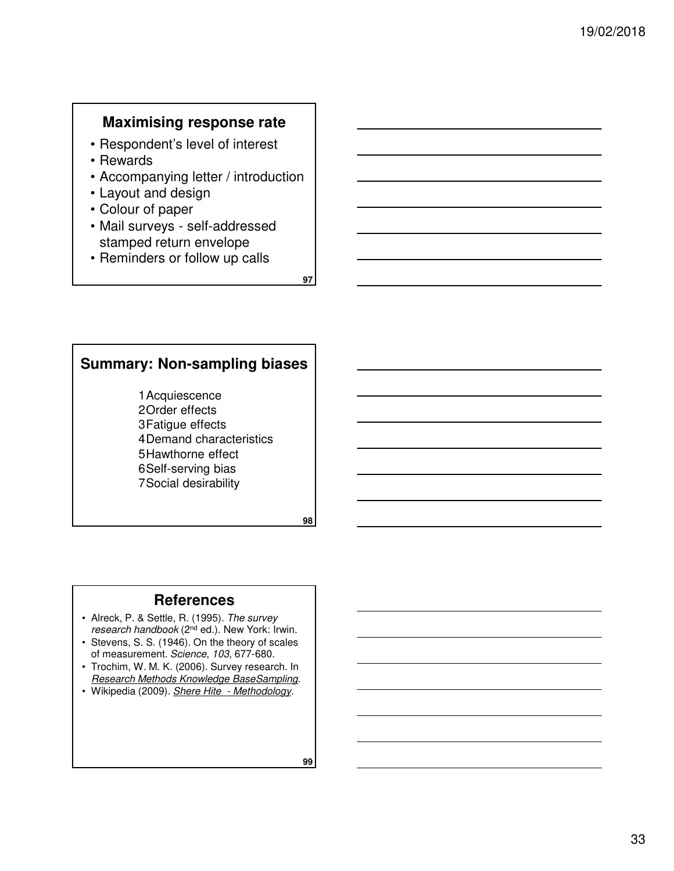# **Maximising response rate**

- Respondent's level of interest
- Rewards
- Accompanying letter / introduction
- Layout and design
- Colour of paper
- Mail surveys self-addressed stamped return envelope
- Reminders or follow up calls

**97**

# **Summary: Non-sampling biases**

1Acquiescence 2Order effects 3Fatigue effects 4Demand characteristics 5Hawthorne effect 6Self-serving bias 7Social desirability

**98**

#### **References**

- Alreck, P. & Settle, R. (1995). The survey research handbook (2nd ed.). New York: Irwin.
- Stevens, S. S. (1946). On the theory of scales of measurement. Science, 103, 677-680.
- Trochim, W. M. K. (2006). Survey research. In Research Methods Knowledge BaseSampling.
- Wikipedia (2009). Shere Hite Methodology.